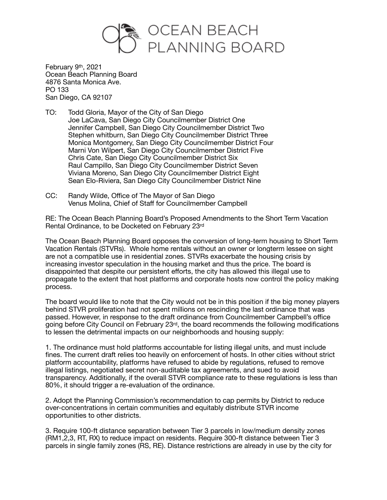

February 9th, 2021 Ocean Beach Planning Board 4876 Santa Monica Ave. PO 133 San Diego, CA 92107

- TO: Todd Gloria, Mayor of the City of San Diego Joe LaCava, San Diego City Councilmember District One Jennifer Campbell, San Diego City Councilmember District Two Stephen whitburn, San Diego City Councilmember District Three Monica Montgomery, San Diego City Councilmember District Four Marni Von Wilpert, San Diego City Councilmember District Five Chris Cate, San Diego City Councilmember District Six Raul Campillo, San Diego City Councilmember District Seven Viviana Moreno, San Diego City Councilmember District Eight Sean Elo-Riviera, San Diego City Councilmember District Nine
- CC: Randy Wilde, Office of The Mayor of San Diego Venus Molina, Chief of Staff for Councilmember Campbell

RE: The Ocean Beach Planning Board's Proposed Amendments to the Short Term Vacation Rental Ordinance, to be Docketed on February 23rd

The Ocean Beach Planning Board opposes the conversion of long-term housing to Short Term Vacation Rentals (STVRs). Whole home rentals without an owner or longterm lessee on sight are not a compatible use in residential zones. STVRs exacerbate the housing crisis by increasing investor speculation in the housing market and thus the price. The board is disappointed that despite our persistent efforts, the city has allowed this illegal use to propagate to the extent that host platforms and corporate hosts now control the policy making process.

The board would like to note that the City would not be in this position if the big money players behind STVR proliferation had not spent millions on rescinding the last ordinance that was passed. However, in response to the draft ordinance from Councilmember Campbell's office going before City Council on February 23rd, the board recommends the following modifications to lessen the detrimental impacts on our neighborhoods and housing supply:

1. The ordinance must hold platforms accountable for listing illegal units, and must include fines. The current draft relies too heavily on enforcement of hosts. In other cities without strict platform accountability, platforms have refused to abide by regulations, refused to remove illegal listings, negotiated secret non-auditable tax agreements, and sued to avoid transparency. Additionally, if the overall STVR compliance rate to these regulations is less than 80%, it should trigger a re-evaluation of the ordinance.

2. Adopt the Planning Commission's recommendation to cap permits by District to reduce over-concentrations in certain communities and equitably distribute STVR income opportunities to other districts.

3. Require 100-ft distance separation between Tier 3 parcels in low/medium density zones (RM1,2,3, RT, RX) to reduce impact on residents. Require 300-ft distance between Tier 3 parcels in single family zones (RS, RE). Distance restrictions are already in use by the city for